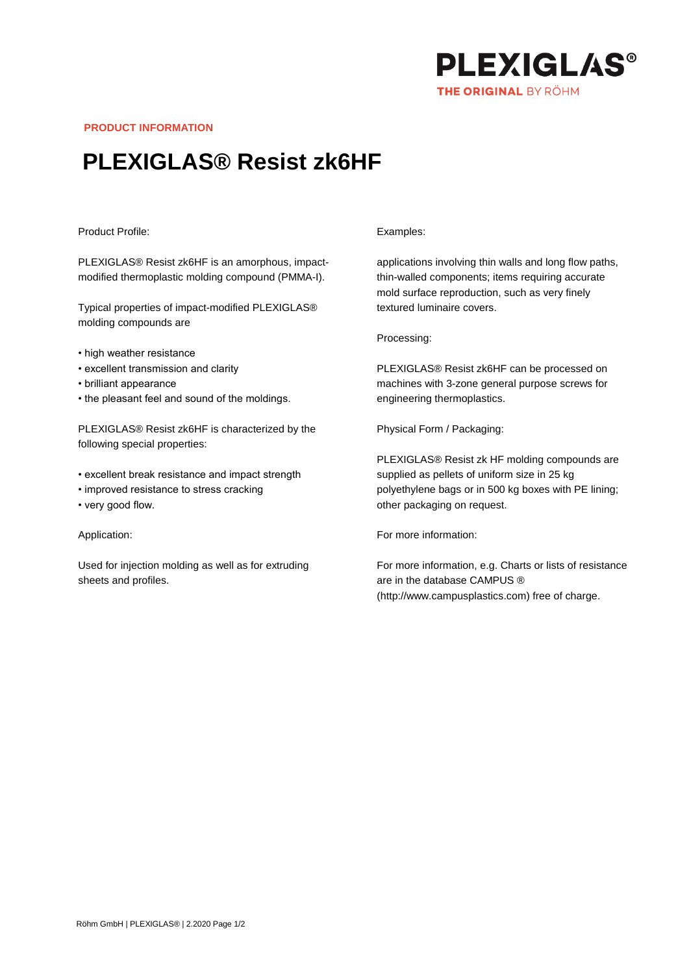

**PRODUCT INFORMATION**

# **PLEXIGLAS® Resist zk6HF**

## Product Profile:

PLEXIGLAS® Resist zk6HF is an amorphous, impactmodified thermoplastic molding compound (PMMA-I).

Typical properties of impact-modified PLEXIGLAS® molding compounds are

- high weather resistance
- excellent transmission and clarity
- brilliant appearance
- the pleasant feel and sound of the moldings.

PLEXIGLAS® Resist zk6HF is characterized by the following special properties:

- excellent break resistance and impact strength
- improved resistance to stress cracking
- very good flow.

### Application:

Used for injection molding as well as for extruding sheets and profiles.

#### Examples:

applications involving thin walls and long flow paths, thin-walled components; items requiring accurate mold surface reproduction, such as very finely textured luminaire covers.

Processing:

PLEXIGLAS® Resist zk6HF can be processed on machines with 3-zone general purpose screws for engineering thermoplastics.

Physical Form / Packaging:

PLEXIGLAS® Resist zk HF molding compounds are supplied as pellets of uniform size in 25 kg polyethylene bags or in 500 kg boxes with PE lining; other packaging on request.

For more information:

For more information, e.g. Charts or lists of resistance are in the database CAMPUS ® (http://www.campusplastics.com) free of charge.